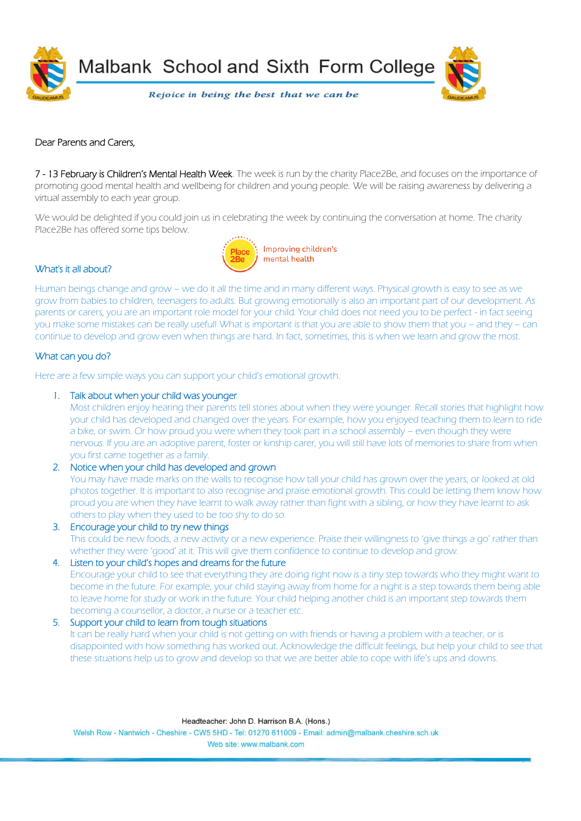

Malbank School and Sixth Form College

Rejoice in being the best that we can be

# Dear Parents and Carers,

7 - 13 February is Children's Mental Health Week. The week is run by the charity Place2Be, and focuses on the importance of promoting good mental health and wellbeing for children and young people. We will be raising awareness by delivering a virtual assembly to each year group.

We would be delighted if you could join us in celebrating the week by continuing the conversation at home. The charity Place2Be has offered some tips below.



# What's it all about?

Human beings change and grow – we do it all the time and in many different ways. Physical growth is easy to see as we grow from babies to children, teenagers to adults. But growing emotionally is also an important part of our development. As parents or carers, you are an important role model for your child. Your child does not need you to be perfect - in fact seeing you make some mistakes can be really useful! What is important is that you are able to show them that you – and they – can continue to develop and grow even when things are hard. In fact, sometimes, this is when we learn and grow the most.

# What can you do?

Here are a few simple ways you can support your child's emotional growth.

#### 1. Talk about when your child was younger

Most children enjoy hearing their parents tell stories about when they were younger. Recall stories that highlight how your child has developed and changed over the years. For example, how you enjoyed teaching them to learn to ride a bike, or swim. Or how proud you were when they took part in a school assembly – even though they were nervous. If you are an adoptive parent, foster or kinship carer, you will still have lots of memories to share from when you first came together as a family.

2. Notice when your child has developed and grown

You may have made marks on the walls to recognise how tall your child has grown over the years, or looked at old photos together. It is important to also recognise and praise emotional growth. This could be letting them know how proud you are when they have learnt to walk away rather than fight with a sibling, or how they have learnt to ask others to play when they used to be too shy to do so.

- 3. Encourage your child to try new things This could be new foods, a new activity or a new experience. Praise their willingness to 'give things a go' rather than whether they were 'good' at it. This will give them confidence to continue to develop and grow. 4. Listen to your child's hopes and dreams for the future
	- Encourage your child to see that everything they are doing right now is a tiny step towards who they might want to become in the future. For example, your child staying away from home for a night is a step towards them being able to leave home for study or work in the future. Your child helping another child is an important step towards them becoming a counsellor, a doctor, a nurse or a teacher etc.

# 5. Support your child to learn from tough situations

It can be really hard when your child is not getting on with friends or having a problem with a teacher, or is disappointed with how something has worked out. Acknowledge the difficult feelings, but help your child to see that these situations help us to grow and develop so that we are better able to cope with life's ups and downs.

Welsh Row - Nantwich - Cheshire - CW5 5HD - Tel: 01270 611009 - Email: admin@malbank.cheshire.sch.uk Web site: www.malhank.com